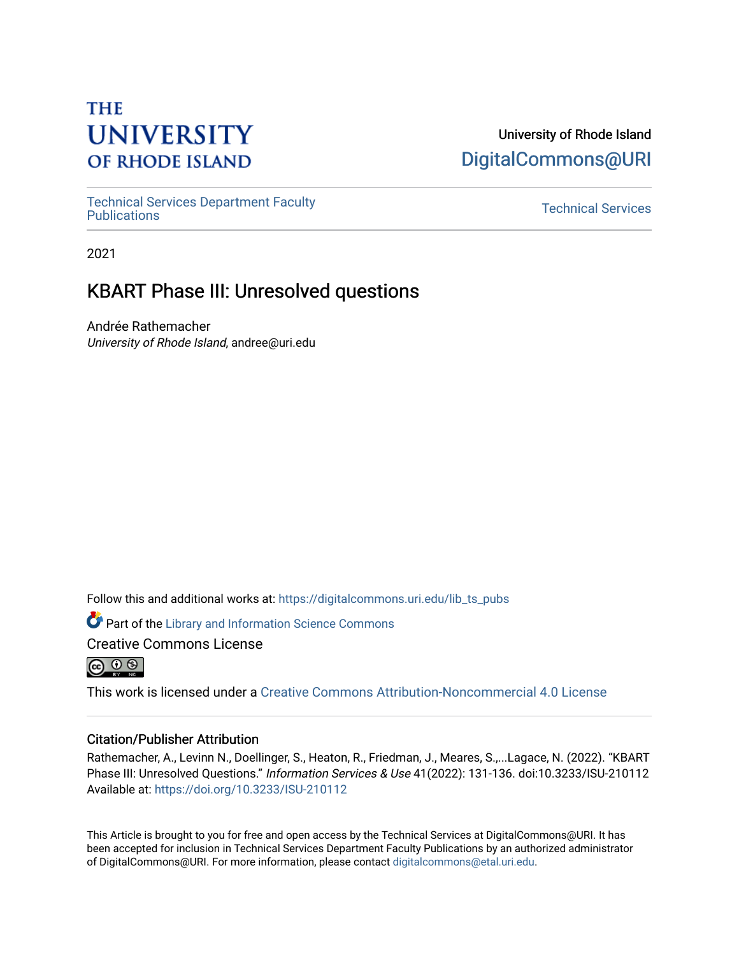# **THE UNIVERSITY OF RHODE ISLAND**

## University of Rhode Island [DigitalCommons@URI](https://digitalcommons.uri.edu/)

[Technical Services Department Faculty](https://digitalcommons.uri.edu/lib_ts_pubs)  Technical Services Department Faculty<br>[Publications](https://digitalcommons.uri.edu/lib_ts_pubs) Technical Services

2021

# KBART Phase III: Unresolved questions

Andrée Rathemacher University of Rhode Island, andree@uri.edu

Follow this and additional works at: [https://digitalcommons.uri.edu/lib\\_ts\\_pubs](https://digitalcommons.uri.edu/lib_ts_pubs?utm_source=digitalcommons.uri.edu%2Flib_ts_pubs%2F124&utm_medium=PDF&utm_campaign=PDFCoverPages)

Part of the [Library and Information Science Commons](https://network.bepress.com/hgg/discipline/1018?utm_source=digitalcommons.uri.edu%2Flib_ts_pubs%2F124&utm_medium=PDF&utm_campaign=PDFCoverPages) 

Creative Commons License



This work is licensed under a [Creative Commons Attribution-Noncommercial 4.0 License](https://creativecommons.org/licenses/by-nc/4.0/)

### Citation/Publisher Attribution

Rathemacher, A., Levinn N., Doellinger, S., Heaton, R., Friedman, J., Meares, S.,...Lagace, N. (2022). "KBART Phase III: Unresolved Questions." Information Services & Use 41(2022): 131-136. doi:10.3233/ISU-210112 Available at:<https://doi.org/10.3233/ISU-210112>

This Article is brought to you for free and open access by the Technical Services at DigitalCommons@URI. It has been accepted for inclusion in Technical Services Department Faculty Publications by an authorized administrator of DigitalCommons@URI. For more information, please contact [digitalcommons@etal.uri.edu](mailto:digitalcommons@etal.uri.edu).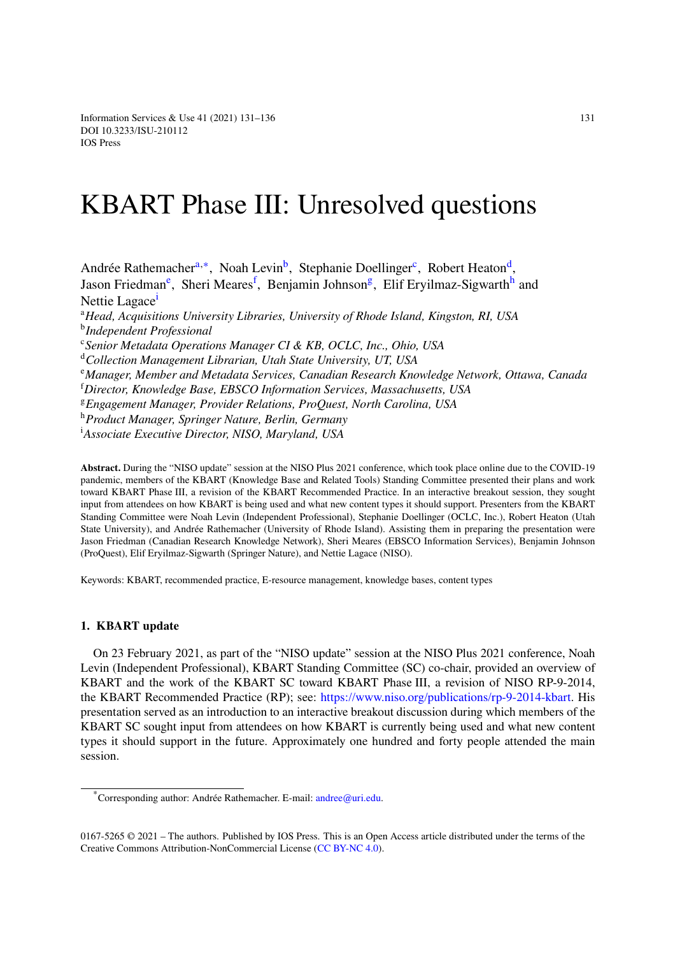Information Services & Use  $41 (2021) 131-136$  131 DOI [10.3233/ISU-210112](http://dx.doi.org/10.3233/ISU-210112) IOS Press

# KBART Phase III: Unresolved questions

<span id="page-1-4"></span><span id="page-1-3"></span><span id="page-1-2"></span><span id="page-1-0"></span>Andrée R[a](#page-1-0)themacher<sup>a,\*</sup>, Noah Levin<sup>[b](#page-1-2)</sup>, Stephanie Doellinger<sup>[c](#page-1-3)</sup>, Robert Heaton<sup>[d](#page-1-4)</sup>, Jason Fri[e](#page-1-5)dman<sup>e</sup>, Sheri Meares<sup>[f](#page-1-6)</sup>, Benjamin Johnson<sup>[g](#page-1-7)</sup>, Elif Eryilmaz-Sigwart[h](#page-1-8)<sup>h</sup> and Nett[i](#page-1-9)e Lagace<sup>1</sup> <sup>a</sup>*Head, Acquisitions University Libraries, University of Rhode Island, Kingston, RI, USA* b *Independent Professional* c *Senior Metadata Operations Manager CI & KB, OCLC, Inc., Ohio, USA* <sup>d</sup>*Collection Management Librarian, Utah State University, UT, USA* <sup>e</sup>*Manager, Member and Metadata Services, Canadian Research Knowledge Network, Ottawa, Canada* <sup>f</sup>*Director, Knowledge Base, EBSCO Information Services, Massachusetts, USA* <sup>g</sup>*Engagement Manager, Provider Relations, ProQuest, North Carolina, USA* <sup>h</sup>*Product Manager, Springer Nature, Berlin, Germany* <sup>i</sup>*Associate Executive Director, NISO, Maryland, USA*

<span id="page-1-9"></span><span id="page-1-8"></span><span id="page-1-7"></span><span id="page-1-6"></span><span id="page-1-5"></span>**Abstract.** During the "NISO update" session at the NISO Plus 2021 conference, which took place online due to the COVID-19 pandemic, members of the KBART (Knowledge Base and Related Tools) Standing Committee presented their plans and work toward KBART Phase III, a revision of the KBART Recommended Practice. In an interactive breakout session, they sought input from attendees on how KBART is being used and what new content types it should support. Presenters from the KBART Standing Committee were Noah Levin (Independent Professional), Stephanie Doellinger (OCLC, Inc.), Robert Heaton (Utah State University), and Andrée Rathemacher (University of Rhode Island). Assisting them in preparing the presentation were Jason Friedman (Canadian Research Knowledge Network), Sheri Meares (EBSCO Information Services), Benjamin Johnson (ProQuest), Elif Eryilmaz-Sigwarth (Springer Nature), and Nettie Lagace (NISO).

Keywords: KBART, recommended practice, E-resource management, knowledge bases, content types

#### **1. KBART update**

On 23 February 2021, as part of the "NISO update" session at the NISO Plus 2021 conference, Noah Levin (Independent Professional), KBART Standing Committee (SC) co-chair, provided an overview of KBART and the work of the KBART SC toward KBART Phase III, a revision of NISO RP-9-2014, the KBART Recommended Practice (RP); see: <https://www.niso.org/publications/rp-9-2014-kbart>. His presentation served as an introduction to an interactive breakout discussion during which members of the KBART SC sought input from attendees on how KBART is currently being used and what new content types it should support in the future. Approximately one hundred and forty people attended the main session.

<span id="page-1-1"></span><sup>\*</sup>Corresponding author: Andrée Rathemacher. E-mail: [andree@uri.edu.](mailto:andree@uri.edu)

<sup>0167-5265 © 2021 –</sup> The authors. Published by IOS Press. This is an Open Access article distributed under the terms of the Creative Commons Attribution-NonCommercial License ([CC BY-NC 4.0\)](https://creativecommons.org/licenses/by-nc/4.0/).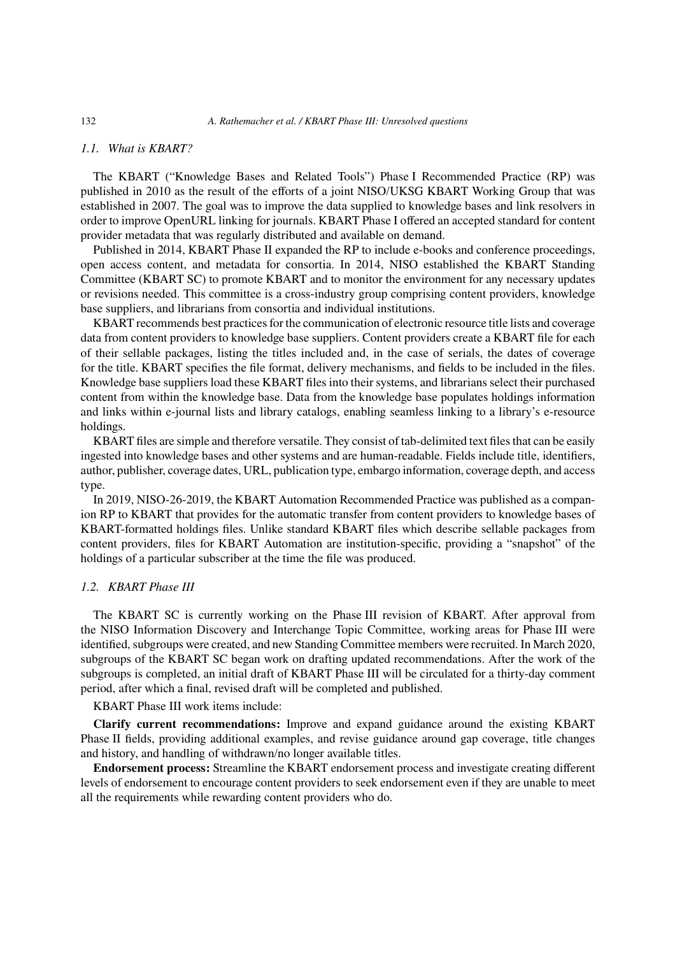#### *1.1. What is KBART?*

The KBART ("Knowledge Bases and Related Tools") Phase I Recommended Practice (RP) was published in 2010 as the result of the efforts of a joint NISO/UKSG KBART Working Group that was established in 2007. The goal was to improve the data supplied to knowledge bases and link resolvers in order to improve OpenURL linking for journals. KBART Phase I offered an accepted standard for content provider metadata that was regularly distributed and available on demand.

Published in 2014, KBART Phase II expanded the RP to include e-books and conference proceedings, open access content, and metadata for consortia. In 2014, NISO established the KBART Standing Committee (KBART SC) to promote KBART and to monitor the environment for any necessary updates or revisions needed. This committee is a cross-industry group comprising content providers, knowledge base suppliers, and librarians from consortia and individual institutions.

KBART recommends best practices for the communication of electronic resource title lists and coverage data from content providers to knowledge base suppliers. Content providers create a KBART file for each of their sellable packages, listing the titles included and, in the case of serials, the dates of coverage for the title. KBART specifies the file format, delivery mechanisms, and fields to be included in the files. Knowledge base suppliers load these KBART files into their systems, and librarians select their purchased content from within the knowledge base. Data from the knowledge base populates holdings information and links within e-journal lists and library catalogs, enabling seamless linking to a library's e-resource holdings.

KBART files are simple and therefore versatile. They consist of tab-delimited text files that can be easily ingested into knowledge bases and other systems and are human-readable. Fields include title, identifiers, author, publisher, coverage dates, URL, publication type, embargo information, coverage depth, and access type.

In 2019, NISO-26-2019, the KBART Automation Recommended Practice was published as a companion RP to KBART that provides for the automatic transfer from content providers to knowledge bases of KBART-formatted holdings files. Unlike standard KBART files which describe sellable packages from content providers, files for KBART Automation are institution-specific, providing a "snapshot" of the holdings of a particular subscriber at the time the file was produced.

#### *1.2. KBART Phase III*

The KBART SC is currently working on the Phase III revision of KBART. After approval from the NISO Information Discovery and Interchange Topic Committee, working areas for Phase III were identified, subgroups were created, and new Standing Committee members were recruited. In March 2020, subgroups of the KBART SC began work on drafting updated recommendations. After the work of the subgroups is completed, an initial draft of KBART Phase III will be circulated for a thirty-day comment period, after which a final, revised draft will be completed and published.

KBART Phase III work items include:

**Clarify current recommendations:** Improve and expand guidance around the existing KBART Phase II fields, providing additional examples, and revise guidance around gap coverage, title changes and history, and handling of withdrawn/no longer available titles.

**Endorsement process:** Streamline the KBART endorsement process and investigate creating different levels of endorsement to encourage content providers to seek endorsement even if they are unable to meet all the requirements while rewarding content providers who do.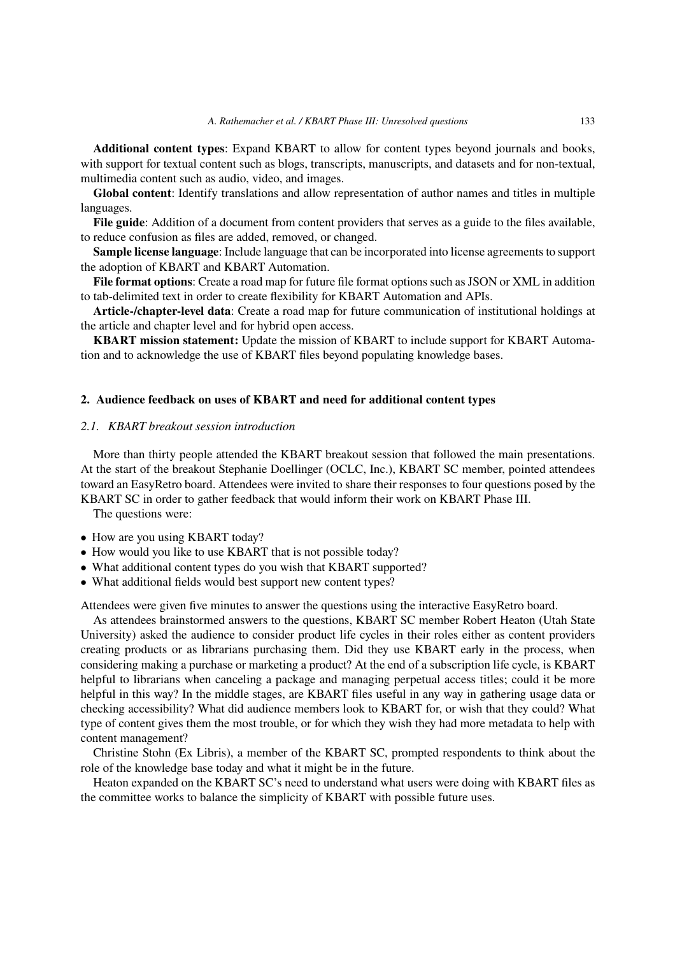**Additional content types**: Expand KBART to allow for content types beyond journals and books, with support for textual content such as blogs, transcripts, manuscripts, and datasets and for non-textual, multimedia content such as audio, video, and images.

**Global content**: Identify translations and allow representation of author names and titles in multiple languages.

**File guide**: Addition of a document from content providers that serves as a guide to the files available, to reduce confusion as files are added, removed, or changed.

**Sample license language**: Include language that can be incorporated into license agreements to support the adoption of KBART and KBART Automation.

**File format options**: Create a road map for future file format options such as JSON or XML in addition to tab-delimited text in order to create flexibility for KBART Automation and APIs.

**Article-/chapter-level data**: Create a road map for future communication of institutional holdings at the article and chapter level and for hybrid open access.

**KBART mission statement:** Update the mission of KBART to include support for KBART Automation and to acknowledge the use of KBART files beyond populating knowledge bases.

#### **2. Audience feedback on uses of KBART and need for additional content types**

#### *2.1. KBART breakout session introduction*

More than thirty people attended the KBART breakout session that followed the main presentations. At the start of the breakout Stephanie Doellinger (OCLC, Inc.), KBART SC member, pointed attendees toward an EasyRetro board. Attendees were invited to share their responses to four questions posed by the KBART SC in order to gather feedback that would inform their work on KBART Phase III.

The questions were:

- How are you using KBART today?
- How would you like to use KBART that is not possible today?
- What additional content types do you wish that KBART supported?
- What additional fields would best support new content types?

Attendees were given five minutes to answer the questions using the interactive EasyRetro board.

As attendees brainstormed answers to the questions, KBART SC member Robert Heaton (Utah State University) asked the audience to consider product life cycles in their roles either as content providers creating products or as librarians purchasing them. Did they use KBART early in the process, when considering making a purchase or marketing a product? At the end of a subscription life cycle, is KBART helpful to librarians when canceling a package and managing perpetual access titles; could it be more helpful in this way? In the middle stages, are KBART files useful in any way in gathering usage data or checking accessibility? What did audience members look to KBART for, or wish that they could? What type of content gives them the most trouble, or for which they wish they had more metadata to help with content management?

Christine Stohn (Ex Libris), a member of the KBART SC, prompted respondents to think about the role of the knowledge base today and what it might be in the future.

Heaton expanded on the KBART SC's need to understand what users were doing with KBART files as the committee works to balance the simplicity of KBART with possible future uses.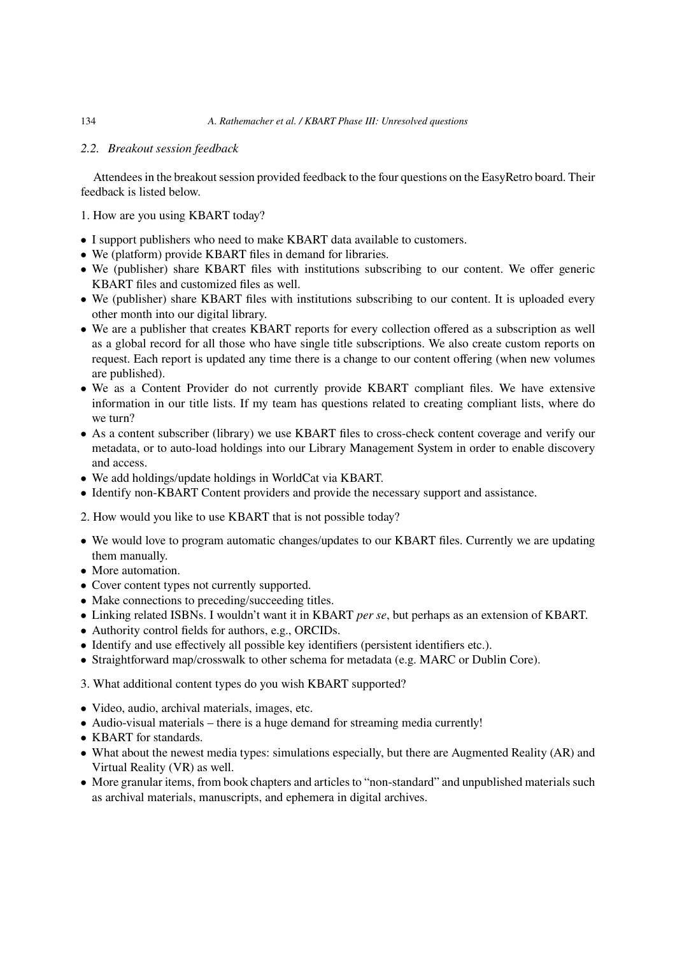#### *2.2. Breakout session feedback*

Attendees in the breakout session provided feedback to the four questions on the EasyRetro board. Their feedback is listed below.

- 1. How are you using KBART today?
- I support publishers who need to make KBART data available to customers.
- We (platform) provide KBART files in demand for libraries.
- We (publisher) share KBART files with institutions subscribing to our content. We offer generic KBART files and customized files as well.
- We (publisher) share KBART files with institutions subscribing to our content. It is uploaded every other month into our digital library.
- We are a publisher that creates KBART reports for every collection offered as a subscription as well as a global record for all those who have single title subscriptions. We also create custom reports on request. Each report is updated any time there is a change to our content offering (when new volumes are published).
- We as a Content Provider do not currently provide KBART compliant files. We have extensive information in our title lists. If my team has questions related to creating compliant lists, where do we turn?
- As a content subscriber (library) we use KBART files to cross-check content coverage and verify our metadata, or to auto-load holdings into our Library Management System in order to enable discovery and access.
- We add holdings/update holdings in WorldCat via KBART.
- Identify non-KBART Content providers and provide the necessary support and assistance.
- 2. How would you like to use KBART that is not possible today?
- We would love to program automatic changes/updates to our KBART files. Currently we are updating them manually.
- More automation.
- Cover content types not currently supported.
- Make connections to preceding/succeeding titles.
- Linking related ISBNs. I wouldn't want it in KBART *per se*, but perhaps as an extension of KBART.
- Authority control fields for authors, e.g., ORCIDs.
- Identify and use effectively all possible key identifiers (persistent identifiers etc.).
- Straightforward map/crosswalk to other schema for metadata (e.g. MARC or Dublin Core).
- 3. What additional content types do you wish KBART supported?
- Video, audio, archival materials, images, etc.
- Audio-visual materials there is a huge demand for streaming media currently!
- KBART for standards.
- What about the newest media types: simulations especially, but there are Augmented Reality (AR) and Virtual Reality (VR) as well.
- More granular items, from book chapters and articles to "non-standard" and unpublished materials such as archival materials, manuscripts, and ephemera in digital archives.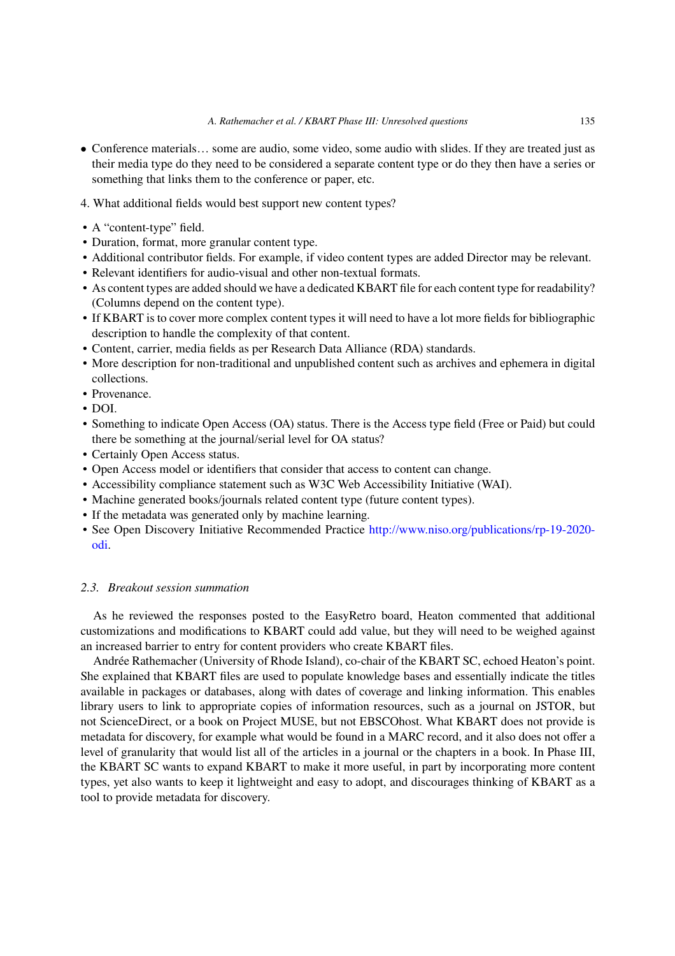- Conference materials… some are audio, some video, some audio with slides. If they are treated just as their media type do they need to be considered a separate content type or do they then have a series or something that links them to the conference or paper, etc.
- 4. What additional fields would best support new content types?
- A "content-type" field.
- Duration, format, more granular content type.
- Additional contributor fields. For example, if video content types are added Director may be relevant.
- Relevant identifiers for audio-visual and other non-textual formats.
- As content types are added should we have a dedicated KBART file for each content type for readability? (Columns depend on the content type).
- If KBART is to cover more complex content types it will need to have a lot more fields for bibliographic description to handle the complexity of that content.
- Content, carrier, media fields as per Research Data Alliance (RDA) standards.
- More description for non-traditional and unpublished content such as archives and ephemera in digital collections.
- Provenance.
- DOI.
- Something to indicate Open Access (OA) status. There is the Access type field (Free or Paid) but could there be something at the journal/serial level for OA status?
- Certainly Open Access status.
- Open Access model or identifiers that consider that access to content can change.
- Accessibility compliance statement such as W3C Web Accessibility Initiative (WAI).
- Machine generated books/journals related content type (future content types).
- If the metadata was generated only by machine learning.
- See Open Discovery Initiative Recommended Practice [http://www.niso.org/publications/rp-19-2020](http://www.niso.org/publications/rp-19-2020-odi) [odi](http://www.niso.org/publications/rp-19-2020-odi).

#### *2.3. Breakout session summation*

As he reviewed the responses posted to the EasyRetro board, Heaton commented that additional customizations and modifications to KBART could add value, but they will need to be weighed against an increased barrier to entry for content providers who create KBART files.

Andrée Rathemacher (University of Rhode Island), co-chair of the KBART SC, echoed Heaton's point. She explained that KBART files are used to populate knowledge bases and essentially indicate the titles available in packages or databases, along with dates of coverage and linking information. This enables library users to link to appropriate copies of information resources, such as a journal on JSTOR, but not ScienceDirect, or a book on Project MUSE, but not EBSCOhost. What KBART does not provide is metadata for discovery, for example what would be found in a MARC record, and it also does not offer a level of granularity that would list all of the articles in a journal or the chapters in a book. In Phase III, the KBART SC wants to expand KBART to make it more useful, in part by incorporating more content types, yet also wants to keep it lightweight and easy to adopt, and discourages thinking of KBART as a tool to provide metadata for discovery.